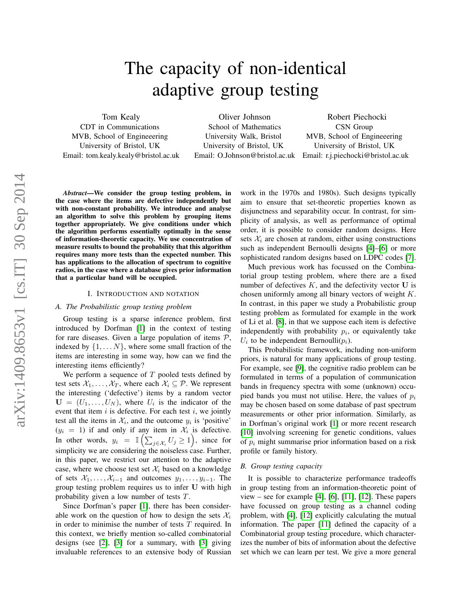# The capacity of non-identical adaptive group testing

Tom Kealy CDT in Communications MVB, School of Engineeering University of Bristol, UK Email: tom.kealy.kealy@bristol.ac.uk

Oliver Johnson School of Mathematics University Walk, Bristol University of Bristol, UK

Email: O.Johnson@bristol.ac.uk Email: r.j.piechocki@bristol.ac.uk Robert Piechocki CSN Group MVB, School of Engineeering University of Bristol, UK

*Abstract*—We consider the group testing problem, in the case where the items are defective independently but with non-constant probability. We introduce and analyse an algorithm to solve this problem by grouping items together appropriately. We give conditions under which the algorithm performs essentially optimally in the sense of information-theoretic capacity. We use concentration of measure results to bound the probability that this algorithm requires many more tests than the expected number. This has applications to the allocation of spectrum to cognitive radios, in the case where a database gives prior information that a particular band will be occupied.

#### I. INTRODUCTION AND NOTATION

#### *A. The Probabilistic group testing problem*

Group testing is a sparse inference problem, first introduced by Dorfman [\[1\]](#page-7-0) in the context of testing for rare diseases. Given a large population of items  $P$ , indexed by  $\{1, \ldots N\}$ , where some small fraction of the items are interesting in some way, how can we find the interesting items efficiently?

We perform a sequence of  $T$  pooled tests defined by test sets  $X_1, \ldots, X_T$ , where each  $X_i \subseteq \mathcal{P}$ . We represent the interesting ('defective') items by a random vector  $U = (U_1, \ldots, U_N)$ , where  $U_i$  is the indicator of the event that item  $i$  is defective. For each test  $i$ , we jointly test all the items in  $\mathcal{X}_i$ , and the outcome  $y_i$  is 'positive'  $(y_i = 1)$  if and only if any item in  $\mathcal{X}_i$  is defective. In other words,  $y_i = \mathbb{I} \left( \sum_{j \in \mathcal{X}_i} U_j \ge 1 \right)$ , since for simplicity we are considering the noiseless case. Further, in this paper, we restrict our attention to the adaptive case, where we choose test set  $\mathcal{X}_i$  based on a knowledge of sets  $\mathcal{X}_1, \ldots, \mathcal{X}_{i-1}$  and outcomes  $y_1, \ldots, y_{i-1}$ . The group testing problem requires us to infer U with high probability given a low number of tests T.

Since Dorfman's paper [\[1\]](#page-7-0), there has been considerable work on the question of how to design the sets  $\mathcal{X}_i$ in order to minimise the number of tests  $T$  required. In this context, we briefly mention so-called combinatorial designs (see [\[2\]](#page-7-1), [\[3\]](#page-7-2) for a summary, with [\[3\]](#page-7-2) giving invaluable references to an extensive body of Russian work in the 1970s and 1980s). Such designs typically aim to ensure that set-theoretic properties known as disjunctness and separability occur. In contrast, for simplicity of analysis, as well as performance of optimal order, it is possible to consider random designs. Here sets  $\mathcal{X}_i$  are chosen at random, either using constructions such as independent Bernoulli designs [\[4\]](#page-7-3)–[\[6\]](#page-7-4) or more sophisticated random designs based on LDPC codes [\[7\]](#page-7-5).

Much previous work has focussed on the Combinatorial group testing problem, where there are a fixed number of defectives  $K$ , and the defectivity vector U is chosen uniformly among all binary vectors of weight K. In contrast, in this paper we study a Probabilistic group testing problem as formulated for example in the work of Li et al. [\[8\]](#page-7-6), in that we suppose each item is defective independently with probability  $p_i$ , or equivalently take  $U_i$  to be independent Bernoulli $(p_i)$ .

This Probabilistic framework, including non-uniform priors, is natural for many applications of group testing. For example, see [\[9\]](#page-7-7), the cognitive radio problem can be formulated in terms of a population of communication bands in frequency spectra with some (unknown) occupied bands you must not utilise. Here, the values of  $p_i$ may be chosen based on some database of past spectrum measurements or other prior information. Similarly, as in Dorfman's original work [\[1\]](#page-7-0) or more recent research [\[10\]](#page-7-8) involving screening for genetic conditions, values of  $p_i$  might summarise prior information based on a risk profile or family history.

#### *B. Group testing capacity*

It is possible to characterize performance tradeoffs in group testing from an information-theoretic point of view – see for example [\[4\]](#page-7-3), [\[6\]](#page-7-4), [\[11\]](#page-7-9), [\[12\]](#page-7-10). These papers have focussed on group testing as a channel coding problem, with [\[4\]](#page-7-3), [\[12\]](#page-7-10) explicitly calculating the mutual information. The paper [\[11\]](#page-7-9) defined the capacity of a Combinatorial group testing procedure, which characterizes the number of bits of information about the defective set which we can learn per test. We give a more general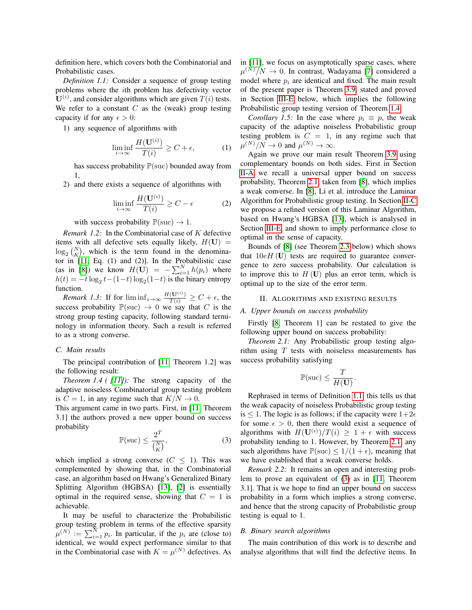<span id="page-1-3"></span>definition here, which covers both the Combinatorial and Probabilistic cases.

*Definition 1.1:* Consider a sequence of group testing problems where the ith problem has defectivity vector  $U^{(i)}$ , and consider algorithms which are given  $T(i)$  tests. We refer to a constant  $C$  as the (weak) group testing capacity if for any  $\epsilon > 0$ :

1) any sequence of algorithms with

$$
\liminf_{i \to \infty} \frac{H(\mathbf{U}^{(i)})}{T(i)} \ge C + \epsilon,\tag{1}
$$

has success probability  $\mathbb{P}(\text{succ})$  bounded away from 1,

2) and there exists a sequence of algorithms with

$$
\liminf_{i \to \infty} \frac{H(\mathbf{U}^{(i)})}{T(i)} \ge C - \epsilon \tag{2}
$$

with success probability  $\mathbb{P}(\text{succ}) \to 1$ .

*Remark 1.2:* In the Combinatorial case of K defective items with all defective sets equally likely,  $H(U)$  =  $\log_2\binom{N}{K}$ , which is the term found in the denominator in [\[11,](#page-7-9) Eq. (1) and (2)]. In the Probabilistic case (as in [\[8\]](#page-7-6)) we know  $H(\mathbf{U}) = -\sum_{i=1}^{N} h(p_i)$  where  $h(t) = -t \log_2 t - (1-t) \log_2(1-t)$  is the binary entropy function.

*Remark 1.3:* If for  $\liminf_{i\to\infty} \frac{H(\mathbf{U}^{(i)})}{T(i)} \geq C + \epsilon$ , the success probability  $\mathbb{P}(\text{succ}) \to 0$  we say that C is the strong group testing capacity, following standard terminology in information theory. Such a result is referred to as a strong converse.

# *C. Main results*

<span id="page-1-0"></span>The principal contribution of [\[11,](#page-7-9) Theorem 1.2] was the following result:

*Theorem 1.4 ( [\[11\]](#page-7-9)):* The strong capacity of the adaptive noiseless Combinatorial group testing problem is  $C = 1$ , in any regime such that  $K/N \rightarrow 0$ .

This argument came in two parts. First, in [\[11,](#page-7-9) Theorem 3.1] the authors proved a new upper bound on success probability

<span id="page-1-4"></span>
$$
\mathbb{P}(\text{succ}) \le \frac{2^T}{\binom{N}{K}},\tag{3}
$$

which implied a strong converse  $(C \leq 1)$ . This was complemented by showing that, in the Combinatorial case, an algorithm based on Hwang's Generalized Binary Splitting Algorithm (HGBSA) [\[13\]](#page-7-11), [\[2\]](#page-7-1) is essentially optimal in the required sense, showing that  $C = 1$  is achievable.

It may be useful to characterize the Probabilistic group testing problem in terms of the effective sparsity  $\mu^{(N)} := \sum_{i=1}^{N} p_i$ . In particular, if the  $p_i$  are (close to) identical, we would expect performance similar to that in the Combinatorial case with  $K = \mu^{(N)}$  defectives. As in [\[11\]](#page-7-9), we focus on asymptotically sparse cases, where  $\mu^{(N)}/N \rightarrow 0$ . In contrast, Wadayama [\[7\]](#page-7-5) considered a model where  $p_i$  are identical and fixed. The main result of the present paper is Theorem [3.9,](#page-5-0) stated and proved in Section [III-E](#page-5-1) below, which implies the following Probabilistic group testing version of Theorem [1.4.](#page-1-0)

<span id="page-1-5"></span>*Corollary 1.5:* In the case where  $p_i \equiv p$ , the weak capacity of the adaptive noiseless Probabilistic group testing problem is  $C = 1$ , in any regime such that  $\mu^{(N)}/N \to 0$  and  $\mu^{(N)} \to \infty$ .

Again we prove our main result Theorem [3.9](#page-5-0) using complementary bounds on both sides. First in Section [II-A](#page-1-1) we recall a universal upper bound on success probability, Theorem [2.1,](#page-1-2) taken from [\[8\]](#page-7-6), which implies a weak converse. In [\[8\]](#page-7-6), Li et al. introduce the Laminar Algorithm for Probabilistic group testing. In Section [II-C](#page-2-0) we propose a refined version of this Laminar Algorithm, based on Hwang's HGBSA [\[13\]](#page-7-11), which is analysed in Section [III-E,](#page-5-1) and shown to imply performance close to optimal in the sense of capacity.

Bounds of [\[8\]](#page-7-6) (see Theorem [2.3](#page-2-1) below) which shows that  $10eH$  (U) tests are required to guarantee convergence to zero success probability. Our calculation is to improve this to  $H(\mathbf{U})$  plus an error term, which is optimal up to the size of the error term.

#### II. ALGORITHMS AND EXISTING RESULTS

#### <span id="page-1-1"></span>*A. Upper bounds on success probability*

Firstly [\[8,](#page-7-6) Theorem 1] can be restated to give the following upper bound on success probability:

*Theorem 2.1:* Any Probabilistic group testing algorithm using  $T$  tests with noiseless measurements has success probability satisfying

<span id="page-1-2"></span>
$$
\mathbb{P}(\text{succ}) \le \frac{T}{H(\mathbf{U})}.
$$

Rephrased in terms of Definition [1.1,](#page-1-3) this tells us that the weak capacity of noiseless Probabilistic group testing is  $\leq 1$ . The logic is as follows; if the capacity were  $1+2\epsilon$ for some  $\epsilon > 0$ , then there would exist a sequence of algorithms with  $H(U^{(i)})/T(i) \geq 1 + \epsilon$  with success probability tending to 1. However, by Theorem [2.1,](#page-1-2) any such algorithms have  $\mathbb{P}(\text{succ}) \leq 1/(1+\epsilon)$ , meaning that we have established that a weak converse holds.

*Remark 2.2:* It remains an open and interesting problem to prove an equivalent of [\(3\)](#page-1-4) as in [\[11,](#page-7-9) Theorem 3.1]. That is we hope to find an upper bound on success probability in a form which implies a strong converse, and hence that the strong capacity of Probabilistic group testing is equal to 1.

# *B. Binary search algorithms*

The main contribution of this work is to describe and analyse algorithms that will find the defective items. In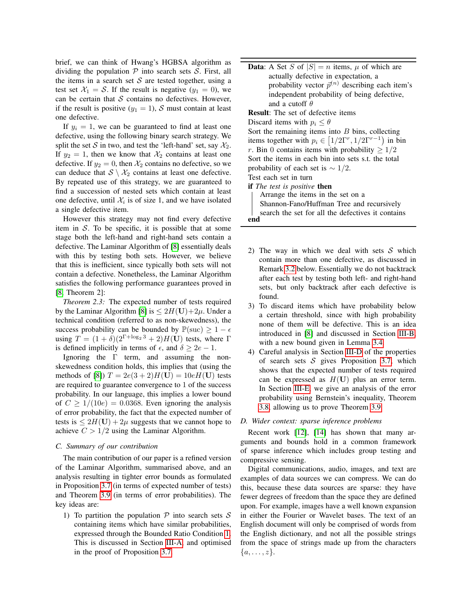brief, we can think of Hwang's HGBSA algorithm as dividing the population  $P$  into search sets  $S$ . First, all the items in a search set  $S$  are tested together, using a test set  $X_1 = S$ . If the result is negative  $(y_1 = 0)$ , we can be certain that  $S$  contains no defectives. However, if the result is positive  $(y_1 = 1)$ , S must contain at least one defective.

If  $y_i = 1$ , we can be guaranteed to find at least one defective, using the following binary search strategy. We split the set S in two, and test the 'left-hand' set, say  $\mathcal{X}_2$ . If  $y_2 = 1$ , then we know that  $\mathcal{X}_2$  contains at least one defective. If  $y_2 = 0$ , then  $\mathcal{X}_2$  contains no defective, so we can deduce that  $S \setminus \mathcal{X}_2$  contains at least one defective. By repeated use of this strategy, we are guaranteed to find a succession of nested sets which contain at least one defective, until  $\mathcal{X}_i$  is of size 1, and we have isolated a single defective item.

However this strategy may not find every defective item in  $S$ . To be specific, it is possible that at some stage both the left-hand and right-hand sets contain a defective. The Laminar Algorithm of [\[8\]](#page-7-6) essentially deals with this by testing both sets. However, we believe that this is inefficient, since typically both sets will not contain a defective. Nonetheless, the Laminar Algorithm satisfies the following performance guarantees proved in [\[8,](#page-7-6) Theorem 2]:

<span id="page-2-1"></span>*Theorem 2.3:* The expected number of tests required by the Laminar Algorithm [\[8\]](#page-7-6) is  $\leq 2H(U)+2\mu$ . Under a technical condition (referred to as non-skewedness), the success probability can be bounded by  $\mathbb{P}(\text{succ}) \geq 1 - \epsilon$ using  $T = (1 + \delta)(2^{\Gamma + \log_2 3} + 2)H(\mathbf{U})$  tests, where  $\Gamma$ is defined implicitly in terms of  $\epsilon$ , and  $\delta \geq 2e - 1$ .

Ignoring the Γ term, and assuming the nonskewedness condition holds, this implies that (using the methods of [\[8\]](#page-7-6))  $T = 2e(3 + 2)H(U) = 10eH(U)$  tests are required to guarantee convergence to 1 of the success probability. In our language, this implies a lower bound of  $C \ge 1/(10e) = 0.0368$ . Even ignoring the analysis of error probability, the fact that the expected number of tests is  $\leq 2H(U) + 2\mu$  suggests that we cannot hope to achieve  $C > 1/2$  using the Laminar Algorithm.

## <span id="page-2-0"></span>*C. Summary of our contribution*

The main contribution of our paper is a refined version of the Laminar Algorithm, summarised above, and an analysis resulting in tighter error bounds as formulated in Proposition [3.7](#page-4-0) (in terms of expected number of tests) and Theorem [3.9](#page-5-0) (in terms of error probabilities). The key ideas are:

1) To partition the population  $P$  into search sets  $S$ containing items which have similar probabilities, expressed through the Bounded Ratio Condition [1.](#page-3-0) This is discussed in Section [III-A,](#page-3-1) and optimised in the proof of Proposition [3.7.](#page-4-0)

**Data:** A Set S of  $|S| = n$  items,  $\mu$  of which are actually defective in expectation, a probability vector  $\bar{p}^{(n)}$  describing each item's independent probability of being defective, and a cutoff  $\theta$ Result: The set of defective items Discard items with  $p_i \leq \theta$ Sort the remaining items into  $B$  bins, collecting items together with  $p_i \in [1/2\Gamma^r, 1/2\Gamma^{r-1})$  in bin r. Bin 0 contains items with probability  $\geq 1/2$ Sort the items in each bin into sets s.t. the total probability of each set is  $\sim 1/2$ . Test each set in turn if *The test is positive* then Arrange the items in the set on a Shannon-Fano/Huffman Tree and recursively search the set for all the defectives it contains end

- 2) The way in which we deal with sets  $S$  which contain more than one defective, as discussed in Remark [3.2](#page-3-2) below. Essentially we do not backtrack after each test by testing both left- and right-hand sets, but only backtrack after each defective is found.
- 3) To discard items which have probability below a certain threshold, since with high probability none of them will be defective. This is an idea introduced in [\[8\]](#page-7-6) and discussed in Section [III-B,](#page-3-3) with a new bound given in Lemma [3.4.](#page-4-1)
- 4) Careful analysis in Section [III-D](#page-4-2) of the properties of search sets  $S$  gives Proposition [3.7,](#page-4-0) which shows that the expected number of tests required can be expressed as  $H(U)$  plus an error term. In Section [III-E,](#page-5-1) we give an analysis of the error probability using Bernstein's inequality, Theorem [3.8,](#page-5-2) allowing us to prove Theorem [3.9.](#page-5-0)

## *D. Wider context: sparse inference problems*

Recent work [\[12\]](#page-7-10), [\[14\]](#page-7-12) has shown that many arguments and bounds hold in a common framework of sparse inference which includes group testing and compressive sensing.

Digital communications, audio, images, and text are examples of data sources we can compress. We can do this, because these data sources are sparse: they have fewer degrees of freedom than the space they are defined upon. For example, images have a well known expansion in either the Fourier or Wavelet bases. The text of an English document will only be comprised of words from the English dictionary, and not all the possible strings from the space of strings made up from the characters  $\{a,\ldots,z\}.$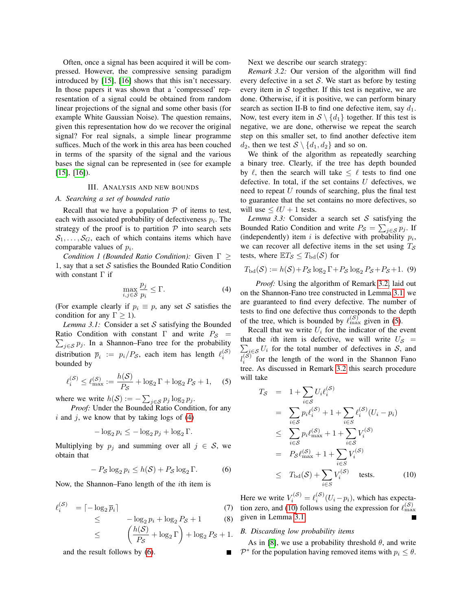Often, once a signal has been acquired it will be compressed. However, the compressive sensing paradigm introduced by [\[15\]](#page-7-13), [\[16\]](#page-7-14) shows that this isn't necessary. In those papers it was shown that a 'compressed' representation of a signal could be obtained from random linear projections of the signal and some other basis (for example White Gaussian Noise). The question remains, given this representation how do we recover the original signal? For real signals, a simple linear programme suffices. Much of the work in this area has been couched in terms of the sparsity of the signal and the various bases the signal can be represented in (see for example [\[15\]](#page-7-13), [\[16\]](#page-7-14)).

#### III. ANALYSIS AND NEW BOUNDS

#### <span id="page-3-1"></span>*A. Searching a set of bounded ratio*

Recall that we have a population  $P$  of items to test, each with associated probability of defectiveness  $p_i$ . The strategy of the proof is to partition  $P$  into search sets  $S_1, \ldots, S_G$ , each of which contains items which have comparable values of  $p_i$ .

<span id="page-3-0"></span>*Condition 1 (Bounded Ratio Condition):* Given Γ ≥ 1, say that a set  $S$  satisfies the Bounded Ratio Condition with constant Γ if

<span id="page-3-6"></span><span id="page-3-4"></span>
$$
\max_{i,j\in\mathcal{S}}\frac{p_j}{p_i}\leq\Gamma.\tag{4}
$$

(For example clearly if  $p_i \equiv p$ , any set S satisfies the condition for any  $\Gamma \geq 1$ ).

*Lemma 3.1:* Consider a set  $S$  satisfying the Bounded Ratio Condition with constant  $\Gamma$  and write  $P_S$  =  $\sum_{j \in S} p_j$ . In a Shannon–Fano tree for the probability distribution  $\bar{p}_i := p_i/P_{\mathcal{S}}$ , each item has length  $\ell_i^{(\mathcal{S})}$ bounded by

<span id="page-3-7"></span>
$$
\ell_i^{(\mathcal{S})} \le \ell_{\text{max}}^{(\mathcal{S})} := \frac{h(\mathcal{S})}{P_{\mathcal{S}}} + \log_2 \Gamma + \log_2 P_{\mathcal{S}} + 1,\quad (5)
$$

where we write  $h(S) := -\sum_{j \in S} p_j \log_2 p_j$ .

*Proof:* Under the Bounded Ratio Condition, for any  $i$  and  $j$ , we know that by taking logs of  $(4)$ 

$$
-\log_2 p_i \le -\log_2 p_j + \log_2 \Gamma.
$$

Multiplying by  $p_i$  and summing over all  $j \in S$ , we obtain that

<span id="page-3-5"></span>
$$
-P_{\mathcal{S}}\log_2 p_i \le h(\mathcal{S}) + P_{\mathcal{S}}\log_2 \Gamma. \tag{6}
$$

Now, the Shannon–Fano length of the ith item is

<span id="page-3-10"></span>
$$
\ell_i^{(\mathcal{S})} = \lceil -\log_2 \overline{p}_i \rceil \tag{7}
$$

$$
\leq -\log_2 p_i + \log_2 P_{\mathcal{S}} + 1 \tag{8}
$$

$$
\leq \left(\frac{h(\mathcal{S})}{P_{\mathcal{S}}} + \log_2 \Gamma\right) + \log_2 P_{\mathcal{S}} + 1.
$$

and the result follows by [\(6\)](#page-3-5).

Next we describe our search strategy:

<span id="page-3-2"></span>*Remark 3.2:* Our version of the algorithm will find every defective in a set  $S$ . We start as before by testing every item in  $S$  together. If this test is negative, we are done. Otherwise, if it is positive, we can perform binary search as section II-B to find one defective item, say  $d_1$ . Now, test every item in  $S \setminus \{d_1\}$  together. If this test is negative, we are done, otherwise we repeat the search step on this smaller set, to find another defective item  $d_2$ , then we test  $S \setminus \{d_1, d_2\}$  and so on.

We think of the algorithm as repeatedly searching a binary tree. Clearly, if the tree has depth bounded by  $\ell$ , then the search will take  $\leq \ell$  tests to find one defective. In total, if the set contains  $U$  defectives, we need to repeat U rounds of searching, plus the final test to guarantee that the set contains no more defectives, so will use  $\leq \ell U + 1$  tests.

<span id="page-3-9"></span>*Lemma 3.3:* Consider a search set  $S$  satisfying the Bounded Ratio Condition and write  $P_{\mathcal{S}} = \sum_{j \in \mathcal{S}} p_j$ . If (independently) item i is defective with probability  $p_i$ , we can recover all defective items in the set using  $T<sub>S</sub>$ tests, where  $\mathbb{E}T_{\mathcal{S}} \leq T_{\text{bd}}(\mathcal{S})$  for

<span id="page-3-11"></span>
$$
T_{\text{bd}}(\mathcal{S}) := h(\mathcal{S}) + P_{\mathcal{S}} \log_2 \Gamma + P_{\mathcal{S}} \log_2 P_{\mathcal{S}} + P_{\mathcal{S}} + 1. \tag{9}
$$

*Proof:* Using the algorithm of Remark [3.2,](#page-3-2) laid out on the Shannon-Fano tree constructed in Lemma [3.1,](#page-3-6) we are guaranteed to find every defective. The number of tests to find one defective thus corresponds to the depth of the tree, which is bounded by  $\ell_{\max}^{(S)}$  given in [\(5\)](#page-3-7).

Recall that we write  $U_i$  for the indicator of the event that the *i*th item is defective, we will write  $U_{\mathcal{S}}$  =  $\sum_{i \in \mathcal{S}} U_i$  for the total number of defectives in S, and  $l_i^{(\mathcal{S})}$ for the length of the word in the Shannon Fano tree. As discussed in Remark [3.2](#page-3-2) this search procedure will take

<span id="page-3-8"></span>
$$
T_{\mathcal{S}} = 1 + \sum_{i \in \mathcal{S}} U_i \ell_i^{(\mathcal{S})}
$$
  
\n
$$
= \sum_{i \in \mathcal{S}} p_i \ell_i^{(\mathcal{S})} + 1 + \sum_{i \in \mathcal{S}} \ell_i^{(\mathcal{S})} (U_i - p_i)
$$
  
\n
$$
\leq \sum_{i \in \mathcal{S}} p_i \ell_{\max}^{(\mathcal{S})} + 1 + \sum_{i \in \mathcal{S}} V_i^{(\mathcal{S})}
$$
  
\n
$$
= P_{\mathcal{S}} \ell_{\max}^{(\mathcal{S})} + 1 + \sum_{i \in \mathcal{S}} V_i^{(\mathcal{S})}
$$
  
\n
$$
\leq T_{\text{bd}}(\mathcal{S}) + \sum_{i \in \mathcal{S}} V_i^{(\mathcal{S})} \text{ tests.} \qquad (10)
$$

Here we write  $V_i^{(S)} = \ell_i^{(S)}(U_i - p_i)$ , which has expecta-tion zero, and [\(10\)](#page-3-8) follows using the expression for  $\ell_{\rm max}^{(\mathcal{S})}$ given in Lemma [3.1.](#page-3-6) Г

# <span id="page-3-3"></span>*B. Discarding low probability items*

As in [\[8\]](#page-7-6), we use a probability threshold  $\theta$ , and write  $\mathcal{P}^*$  for the population having removed items with  $p_i \leq \theta$ .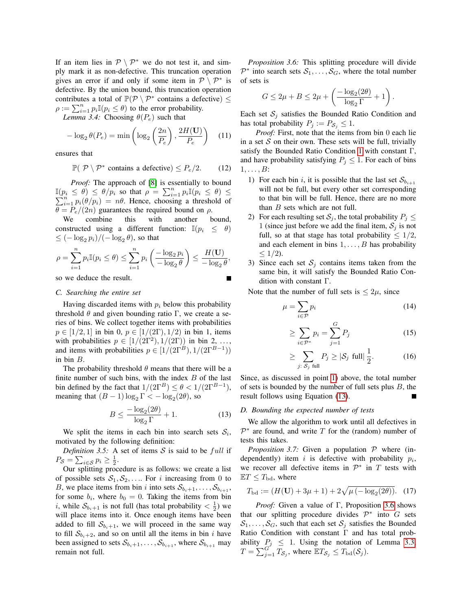If an item lies in  $\mathcal{P} \setminus \mathcal{P}^*$  we do not test it, and simply mark it as non-defective. This truncation operation gives an error if and only if some item in  $\mathcal{P} \setminus \mathcal{P}^*$  is defective. By the union bound, this truncation operation contributes a total of  $\mathbb{P}(\mathcal{P} \setminus \mathcal{P}^*)$  contains a defective)  $\leq$  $\rho := \sum_{i=1}^n p_i \mathbb{I}(p_i \le \theta)$  to the error probability.

<span id="page-4-1"></span>*Lemma 3.4:* Choosing  $\theta(P_e)$  such that

<span id="page-4-7"></span>
$$
-\log_2 \theta(P_e) = \min\left(\log_2\left(\frac{2n}{P_e}\right), \frac{2H(\mathbf{U})}{P_e}\right) \quad (11)
$$

ensures that

$$
\mathbb{P}(\mathcal{P}\setminus\mathcal{P}^*\text{ contains a defective})\leq P_e/2. \qquad (12)
$$

*Proof:* The approach of [\[8\]](#page-7-6) is essentially to bound  $\mathbb{I}(p_i \leq \theta) \leq \theta/p_i$  so that  $\rho = \sum_{i=1}^n p_i \mathbb{I}(p_i \leq \theta) \leq$  $\sum_{i=1}^{n} p_i(\theta/p_i) = n\theta$ . Hence, choosing a threshold of  $\theta = P_e/(2n)$  guarantees the required bound on  $\rho$ .

We combine this with another bound, constructed using a different function:  $\mathbb{I}(p_i \leq \theta)$  $\leq (-\log_2 p_i)/(-\log_2 \theta)$ , so that

$$
\rho = \sum_{i=1}^n p_i \mathbb{I}(p_i \le \theta) \le \sum_{i=1}^n p_i \left( \frac{-\log_2 p_i}{-\log_2 \theta} \right) \le \frac{H(\mathbf{U})}{-\log_2 \theta},
$$

# so we deduce the result.

# *C. Searching the entire set*

Having discarded items with  $p_i$  below this probability threshold  $θ$  and given bounding ratio Γ, we create a series of bins. We collect together items with probabilities  $p \in [1/2, 1]$  in bin 0,  $p \in [1/(2\Gamma), 1/2)$  in bin 1, items with probabilities  $p \in [1/(2\Gamma^2), 1/(2\Gamma))$  in bin 2, ..., and items with probabilities  $p \in [1/(2\Gamma^B), 1/(2\Gamma^{B-1}))$ in bin B.

The probability threshold  $\theta$  means that there will be a finite number of such bins, with the index  $B$  of the last bin defined by the fact that  $1/(2\Gamma^B) \le \theta < 1/(2\Gamma^{B-1}),$ meaning that  $(B - 1) \log_2 \Gamma < -\log_2(2\theta)$ , so

<span id="page-4-4"></span>
$$
B \le \frac{-\log_2(2\theta)}{\log_2 \Gamma} + 1.
$$
 (13)

We split the items in each bin into search sets  $S_i$ , motivated by the following definition:

*Definition 3.5:* A set of items  $S$  is said to be full if  $P_{\mathcal{S}} = \sum_{i \in \mathcal{S}} p_i \geq \frac{1}{2}.$ 

<span id="page-4-5"></span>Our splitting procedure is as follows: we create a list of possible sets  $S_1, S_2, \ldots$  For i increasing from 0 to B, we place items from bin i into sets  $S_{b_i+1}, \ldots, S_{b_{i+1}},$ for some  $b_i$ , where  $b_0 = 0$ . Taking the items from bin *i*, while  $S_{b_i+1}$  is not full (has total probability  $\langle \frac{1}{2} \rangle$  we will place items into it. Once enough items have been added to fill  $S_{b_i+1}$ , we will proceed in the same way to fill  $S_{b<sub>i</sub>+2}$ , and so on until all the items in bin i have been assigned to sets  $S_{b_{i}+1}, \ldots, S_{b_{i+1}}$ , where  $S_{b_{i+1}}$  may remain not full.

*Proposition 3.6:* This splitting procedure will divide  $\mathcal{P}^*$  into search sets  $\mathcal{S}_1, \ldots, \mathcal{S}_G$ , where the total number of sets is

$$
G \le 2\mu + B \le 2\mu + \left(\frac{-\log_2(2\theta)}{\log_2 \Gamma} + 1\right).
$$

Each set  $S_j$  satisfies the Bounded Ratio Condition and has total probability  $P_j := P_{\mathcal{S}_j} \leq 1$ .

*Proof:* First, note that the items from bin 0 each lie in a set  $S$  on their own. These sets will be full, trivially satisfy the Bounded Ratio Condition [1](#page-3-0) with constant Γ, and have probability satisfying  $P_j \leq 1$ . For each of bins  $1, \ldots, B$ :

- <span id="page-4-3"></span>1) For each bin i, it is possible that the last set  $S_{b_{i+1}}$ will not be full, but every other set corresponding to that bin will be full. Hence, there are no more than  $B$  sets which are not full.
- 2) For each resulting set  $S_j$ , the total probability  $P_j \leq$ 1 (since just before we add the final item,  $S_i$  is not full, so at that stage has total probability  $\leq 1/2$ , and each element in bins  $1, \ldots, B$  has probability  $\leq 1/2$ ).
- 3) Since each set  $S_j$  contains items taken from the same bin, it will satisfy the Bounded Ratio Condition with constant Γ.

Note that the number of full sets is  $\leq 2\mu$ , since

$$
\mu = \sum_{i \in \mathcal{P}} p_i \tag{14}
$$

<span id="page-4-8"></span>
$$
\geq \sum_{i \in \mathcal{P}^*} p_i = \sum_{j=1}^G P_j \tag{15}
$$

$$
\geq \sum_{j:\ S_j \text{ full}} P_j \geq |\mathcal{S}_j \text{ full}| \frac{1}{2}.\tag{16}
$$

Since, as discussed in point [1\)](#page-4-3) above, the total number of sets is bounded by the number of full sets plus  $B$ , the result follows using Equation [\(13\)](#page-4-4).

#### <span id="page-4-2"></span>*D. Bounding the expected number of tests*

We allow the algorithm to work until all defectives in  $\mathcal{P}^*$  are found, and write T for the (random) number of tests this takes.

<span id="page-4-0"></span>*Proposition 3.7:* Given a population  $P$  where (independently) item i is defective with probability  $p_i$ , we recover all defective items in  $\mathcal{P}^*$  in T tests with  $\mathbb{E}T \leq T_{\text{bd}}$ , where

<span id="page-4-6"></span>
$$
T_{\text{bd}} := (H(\mathbf{U}) + 3\mu + 1) + 2\sqrt{\mu(-\log_2(2\theta))}. \quad (17)
$$

*Proof:* Given a value of Γ, Proposition [3.6](#page-4-5) shows that our splitting procedure divides  $\mathcal{P}^*$  into G sets  $S_1, \ldots, S_G$ , such that each set  $S_i$  satisfies the Bounded Ratio Condition with constant Γ and has total probability  $P_j \leq 1$ . Using the notation of Lemma [3.3,](#page-3-9)  $T = \sum_{j=1}^{G^*} T_{\mathcal{S}_j}$ , where  $\mathbb{E} T_{\mathcal{S}_j} \leq T_{\text{bd}}(\mathcal{S}_j)$ .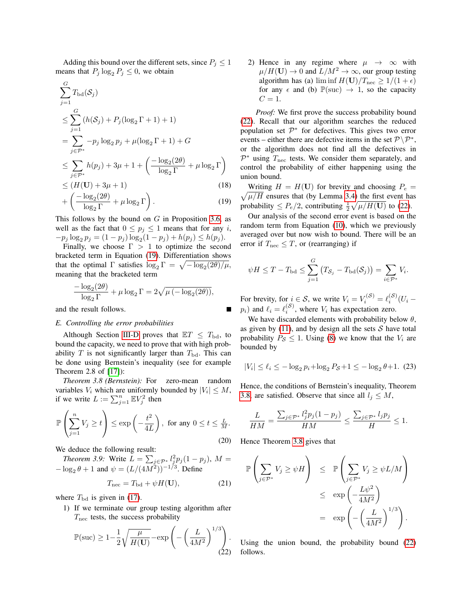Adding this bound over the different sets, since  $P_j \leq 1$ means that  $P_j \log_2 P_j \leq 0$ , we obtain

$$
\sum_{j=1}^{G} T_{\text{bd}}(\mathcal{S}_j)
$$
\n
$$
\leq \sum_{j=1}^{G} (h(\mathcal{S}_j) + P_j(\log_2 \Gamma + 1) + 1)
$$
\n
$$
= \sum_{j \in \mathcal{P}^*} -p_j \log_2 p_j + \mu(\log_2 \Gamma + 1) + G
$$
\n
$$
\leq \sum_{j \in \mathcal{P}^*} h(p_j) + 3\mu + 1 + \left( \frac{-\log_2(2\theta)}{\log_2 \Gamma} + \mu \log_2 \Gamma \right)
$$
\n
$$
\leq (H(\mathbf{U}) + 3\mu + 1) \tag{18}
$$

$$
+\left(\frac{-\log_2(2\theta)}{\log_2\Gamma}+\mu\log_2\Gamma\right). \tag{19}
$$

This follows by the bound on  $G$  in Proposition [3.6,](#page-4-5) as well as the fact that  $0 \le p_j \le 1$  means that for any i,  $-p_j \log_2 p_j = (1 - p_j) \log_2 (1 - p_j) + h(p_j) \leq h(p_j).$ 

Finally, we choose  $\Gamma > 1$  to optimize the second bracketed term in Equation [\(19\)](#page-5-3). Differentiation shows that the optimal  $\Gamma$  satisfies  $\log_2 \Gamma = \sqrt{-\log_2(2\theta)/\mu}$ , meaning that the bracketed term

$$
\frac{-\log_2(2\theta)}{\log_2 \Gamma} + \mu \log_2 \Gamma = 2\sqrt{\mu \left(-\log_2(2\theta)\right)},
$$

and the result follows.

#### <span id="page-5-1"></span>*E. Controlling the error probabilities*

Although Section [III-D](#page-4-2) proves that  $ET \leq T_{\text{bd}}$ , to bound the capacity, we need to prove that with high probability T is not significantly larger than  $T_{\text{bd}}$ . This can be done using Bernstein's inequality (see for example Theorem 2.8 of [\[17\]](#page-7-15)):

<span id="page-5-2"></span>*Theorem 3.8 (Bernstein):* For zero-mean random variables  $V_i$  which are uniformly bounded by  $|V_i| \leq M$ , if we write  $L := \sum_{j=1}^n \mathbb{E} V_j^2$  then

$$
\mathbb{P}\left(\sum_{j=1}^{n} V_j \ge t\right) \le \exp\left(-\frac{t^2}{4L}\right), \text{ for any } 0 \le t \le \frac{L}{M}.
$$
\n(20)

We deduce the following result:

*Theorem 3.9:* Write  $L = \sum_{j \in \mathcal{P}^*} l_j^2 p_j (1 - p_j)$ ,  $M =$  $-\log_2 \theta + 1$  and  $\psi = (L/(4M^2))^{-1/3}$ . Define

<span id="page-5-6"></span><span id="page-5-0"></span>
$$
T_{\text{nec}} = T_{\text{bd}} + \psi H(\mathbf{U}),\tag{21}
$$

where  $T_{\text{bd}}$  is given in [\(17\)](#page-4-6).

1) If we terminate our group testing algorithm after  $T_{\text{nec}}$  tests, the success probability

<span id="page-5-4"></span>
$$
\mathbb{P}(\text{succ}) \ge 1 - \frac{1}{2} \sqrt{\frac{\mu}{H(\mathbf{U})}} - \exp\left(-\left(\frac{L}{4M^2}\right)^{1/3}\right). \tag{22}
$$

<span id="page-5-5"></span>2) Hence in any regime where  $\mu \rightarrow \infty$  with  $\mu/H(\mathbf{U}) \to 0$  and  $L/M^2 \to \infty$ , our group testing algorithm has (a) lim inf  $H(U)/T_{\text{nec}} \ge 1/(1+\epsilon)$ for any  $\epsilon$  and (b)  $\mathbb{P}(\text{succ}) \to 1$ , so the capacity  $C = 1$ .

*Proof:* We first prove the success probability bound [\(22\)](#page-5-4). Recall that our algorithm searches the reduced population set  $\mathcal{P}^*$  for defectives. This gives two error events – either there are defective items in the set  $\mathcal{P} \backslash \mathcal{P}^*$ , or the algorithm does not find all the defectives in  $\mathcal{P}^*$  using  $T_{\text{nec}}$  tests. We consider them separately, and control the probability of either happening using the union bound.

<span id="page-5-3"></span> $\sqrt{\mu/H}$  ensures that (by Lemma [3.4\)](#page-4-1) the first event has Writing  $H = H(U)$  for brevity and choosing  $P_e =$ probability  $\leq P_e/2$ , contributing  $\frac{1}{2}\sqrt{\mu/H(\mathbf{U})}$  to [\(22\)](#page-5-4).

Our analysis of the second error event is based on the random term from Equation [\(10\)](#page-3-8), which we previously averaged over but now wish to bound. There will be an error if  $T_{\text{nec}} \leq T$ , or (rearranging) if

$$
\psi H \leq T - T_{\text{bd}} \leq \sum_{j=1}^{G} (T_{\mathcal{S}_j} - T_{\text{bd}}(\mathcal{S}_j)) = \sum_{i \in \mathcal{P}^*} V_i.
$$

For brevity, for  $i \in S$ , we write  $V_i = V_i^{(S)} = \ell_i^{(S)}(U_i$  $p_i$ ) and  $\ell_i = \ell_i^{(S)}$ , where  $V_i$  has expectation zero.

We have discarded elements with probability below  $\theta$ , as given by  $(11)$ , and by design all the sets S have total probability  $P_S \leq 1$ . Using [\(8\)](#page-3-10) we know that the  $V_i$  are bounded by

$$
|V_i| \le \ell_i \le -\log_2 p_i + \log_2 P_S + 1 \le -\log_2 \theta + 1. \tag{23}
$$

Hence, the conditions of Bernstein's inequality, Theorem [3.8,](#page-5-2) are satisfied. Observe that since all  $l_j \leq M$ ,

$$
\frac{L}{HM} = \frac{\sum_{j \in \mathcal{P}^*} l_j^2 p_j (1 - p_j)}{HM} \le \frac{\sum_{j \in \mathcal{P}^*} l_j p_j}{H} \le 1.
$$

Hence Theorem [3.8](#page-5-2) gives that

$$
\mathbb{P}\left(\sum_{j\in\mathcal{P}^*} V_j \ge \psi H\right) \le \mathbb{P}\left(\sum_{j\in\mathcal{P}^*} V_j \ge \psi L/M\right)
$$
  

$$
\le \exp\left(-\frac{L\psi^2}{4M^2}\right)
$$
  

$$
= \exp\left(-\left(\frac{L}{4M^2}\right)^{1/3}\right).
$$

Using the union bound, the probability bound [\(22\)](#page-5-4) follows.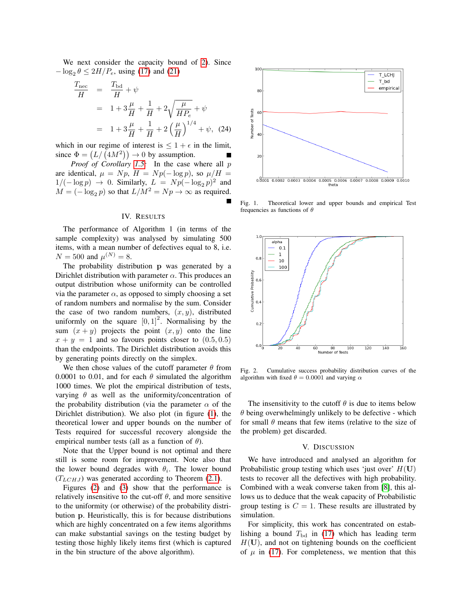We next consider the capacity bound of [2\)](#page-5-5). Since  $-\log_2 \theta \leq 2H/P_e$ , using [\(17\)](#page-4-6) and [\(21\)](#page-5-6)

$$
\frac{T_{\text{nec}}}{H} = \frac{T_{\text{bd}}}{H} + \psi
$$
\n
$$
= 1 + 3\frac{\mu}{H} + \frac{1}{H} + 2\sqrt{\frac{\mu}{HP_e}} + \psi
$$
\n
$$
= 1 + 3\frac{\mu}{H} + \frac{1}{H} + 2\left(\frac{\mu}{H}\right)^{1/4} + \psi, (24)
$$

which in our regime of interest is  $\leq 1 + \epsilon$  in the limit, since  $\Phi = (L/(4M^2)) \rightarrow 0$  by assumption.

*Proof of Corollary [1.5:](#page-1-5)* In the case where all p are identical,  $\mu = Np$ ,  $H = Np(-\log p)$ , so  $\mu/H =$  $1/(-\log p) \rightarrow 0$ . Similarly,  $L = Np(-\log_2 p)^2$  and  $M = (-\log_2 p)$  so that  $L/M^2 = Np \rightarrow \infty$  as required.

# IV. RESULTS

The performance of Algorithm 1 (in terms of the sample complexity) was analysed by simulating 500 items, with a mean number of defectives equal to 8, i.e.  $N = 500$  and  $\mu^{(N)} = 8$ .

The probability distribution p was generated by a Dirichlet distribution with parameter  $\alpha$ . This produces an output distribution whose uniformity can be controlled via the parameter  $\alpha$ , as opposed to simply choosing a set of random numbers and normalise by the sum. Consider the case of two random numbers,  $(x, y)$ , distributed uniformly on the square  $[0, 1]^2$ . Normalising by the sum  $(x + y)$  projects the point  $(x, y)$  onto the line  $x + y = 1$  and so favours points closer to  $(0.5, 0.5)$ than the endpoints. The Dirichlet distribution avoids this by generating points directly on the simplex.

We then chose values of the cutoff parameter  $\theta$  from 0.0001 to 0.01, and for each  $\theta$  simulated the algorithm 1000 times. We plot the empirical distribution of tests, varying  $\theta$  as well as the uniformity/concentration of the probability distribution (via the parameter  $\alpha$  of the Dirichlet distribution). We also plot (in figure [\(1\)](#page-6-0), the theoretical lower and upper bounds on the number of Tests required for successful recovery alongside the empirical number tests (all as a function of  $\theta$ ).

Note that the Upper bound is not optimal and there still is some room for improvement. Note also that the lower bound degrades with  $\theta_i$ . The lower bound  $(T_{LCHJ})$  was generated according to Theorem [\(2.1\)](#page-1-2).

Figures [\(2\)](#page-6-1) and [\(3\)](#page-7-16) show that the performance is relatively insensitive to the cut-off  $\theta$ , and more sensitive to the uniformity (or otherwise) of the probability distribution p. Heuristically, this is for because distributions which are highly concentrated on a few items algorithms can make substantial savings on the testing budget by testing those highly likely items first (which is captured in the bin structure of the above algorithm).



<span id="page-6-0"></span>Fig. 1. Theoretical lower and upper bounds and empirical Test frequencies as functions of  $\theta$ 



<span id="page-6-1"></span>Fig. 2. Cumulative success probability distribution curves of the algorithm with fixed  $\theta = 0.0001$  and varying  $\alpha$ 

The insensitivity to the cutoff  $\theta$  is due to items below  $\theta$  being overwhelmingly unlikely to be defective - which for small  $\theta$  means that few items (relative to the size of the problem) get discarded.

#### V. DISCUSSION

We have introduced and analysed an algorithm for Probabilistic group testing which uses 'just over'  $H(U)$ tests to recover all the defectives with high probability. Combined with a weak converse taken from [\[8\]](#page-7-6), this allows us to deduce that the weak capacity of Probabilistic group testing is  $C = 1$ . These results are illustrated by simulation.

For simplicity, this work has concentrated on establishing a bound  $T_{\text{bd}}$  in [\(17\)](#page-4-6) which has leading term  $H(U)$ , and not on tightening bounds on the coefficient of  $\mu$  in [\(17\)](#page-4-6). For completeness, we mention that this